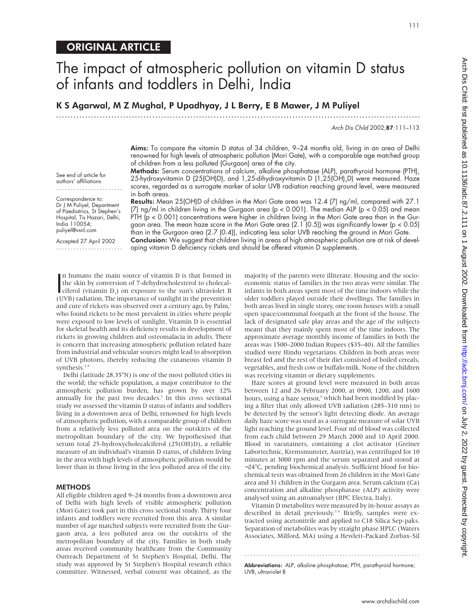# The impact of atmospheric pollution on vitamin D status of infants and toddlers in Delhi, India

K S Agarwal, M Z Mughal, P Upadhyay, J L Berry, E B Mawer, J M Puliyel

.............................................................................................................................

Arch Dis Child 2002;87:111–113

Aims: To compare the vitamin D status of 34 children, 9-24 months old, living in an area of Delhi renowned for high levels of atmospheric pollution (Mori Gate), with a comparable age matched group of children from a less polluted (Gurgaon) area of the city.

Methods: Serum concentrations of calcium, alkaline phosphatase (ALP), parathyroid hormone (PTH), 25-hydroxyvitamin D (25(OH)D), and 1,25-dihydroxyvitamin D (1,25(OH)<sub>2</sub>D) were measured. Haze scores, regarded as a surrogate marker of solar UVB radiation reaching ground level, were measured in both areas.

Correspondence to: Dr J M Puliyel, Department of Paediatrics, St Stephen's Hospital, Tis Hazari, Delhi, India 110054; puliyel@vsnl.com

See end of article for authors' affiliations .......................

Accepted 27 April 2002 .......................

Results: Mean 25(OH)D of children in the Mori Gate area was 12.4 (7) ng/ml, compared with 27.1  $(7)$  ng/ml in children living in the Gurgaon area (p < 0.001). The median ALP (p < 0.05) and mean PTH (p < 0.001) concentrations were higher in children living in the Mori Gate area than in the Gurgaon area. The mean haze score in the Mori Gate area (2.1 (0.5)) was significantly lower (p < 0.05) than in the Gurgaon area (2.7 (0.4)), indicating less solar UVB reaching the ground in Mori Gate. Conclusion: We suggest that children living in areas of high atmospheric pollution are at risk of developing vitamin D deficiency rickets and should be offered vitamin D supplements.

In humans the main source of vitamin D is that formed in<br>the skin by conversion of 7-dehydrocholesterol to cholecal-<br>ciferol (vitamin D<sub>3</sub>) on exposure to the sun's ultraviolet B<br> $(UNP)$  radiation. The importance of supligh n humans the main source of vitamin D is that formed in the skin by conversion of 7-dehydrocholesterol to cholecal-(UVB) radiation. The importance of sunlight in the prevention and cure of rickets was observed over a century ago, by Palm,<sup>1</sup> who found rickets to be most prevalent in cities where people were exposed to low levels of sunlight. Vitamin D is essential for skeletal health and its deficiency results in development of rickets in growing children and osteomalacia in adults. There is concern that increasing atmospheric pollution related haze from industrial and vehicular sources might lead to absorption of UVB photons, thereby reducing the cutaneous vitamin D synthesis. $2-4$ 

Delhi (latitude 28.35°N) is one of the most polluted cities in the world; the vehicle population, a major contributor to the atmospheric pollution burden, has grown by over 12% annually for the past two decades.<sup>5</sup> In this cross sectional study we assessed the vitamin D status of infants and toddlers living in a downtown area of Delhi, renowned for high levels of atmospheric pollution, with a comparable group of children from a relatively less polluted area on the outskirts of the metropolitan boundary of the city. We hypothesised that serum total 25-hydroxycholecalciferol (25(OH)D), a reliable measure of an individual's vitamin D status, of children living in the area with high levels of atmospheric pollution would be lower than in those living in the less polluted area of the city.

#### **METHODS**

All eligible children aged 9–24 months from a downtown area of Delhi with high levels of visible atmospheric pollution (Mori Gate) took part in this cross sectional study. Thirty four infants and toddlers were recruited from this area. A similar number of age matched subjects were recruited from the Gurgaon area, a less polluted area on the outskirts of the metropolitan boundary of the city. Families in both study areas received community healthcare from the Community Outreach Department of St Stephen's Hospital, Delhi. The study was approved by St Stephen's Hospital research ethics committee. Witnessed, verbal consent was obtained, as the

majority of the parents were illiterate. Housing and the socioeconomic status of families in the two areas were similar. The infants in both areas spent most of the time indoors while the older toddlers played outside their dwellings. The families in both areas lived in single storey, one room houses with a small open space/communal footpath at the front of the house. The lack of designated safe play areas and the age of the subjects meant that they mainly spent most of the time indoors. The approximate average monthly income of families in both the areas was 1500–2000 Indian Rupees (\$35–40). All the families studied were Hindu vegetarians. Children in both areas were breast fed and the rest of their diet consisted of boiled cereals, vegetables, and fresh cow or buffalo milk. None of the children was receiving vitamin or dietary supplements.

Haze scores at ground level were measured in both areas between 12 and 26 February 2000, at 0900, 1200, and 1600 hours, using a haze sensor,<sup>6</sup> which had been modified by placing a filter that only allowed UVB radiation (285–310 nm) to be detected by the sensor's light detecting diode. An average daily haze score was used as a surrogate measure of solar UVB light reaching the ground level. Four ml of blood was collected from each child between 29 March 2000 and 10 April 2000. Blood in vacutainers, containing a clot activator (Greiner Labortechnic, Kremsmunster, Austria), was centrifuged for 10 minutes at 3000 rpm and the serum separated and stored at −24°C, pending biochemical analysis. Sufficient blood for biochemical tests was obtained from 26 children in the Mori Gate area and 31 children in the Gurgaon area. Serum calcium (Ca) concentration and alkaline phosphatase (ALP) activity were analysed using an autoanalyser (BPC Electra, Italy).

Vitamin D metabolites were measured by in-house assays as described in detail previously.<sup>7-9</sup> Briefly, samples were extracted using acetonitrile and applied to C18 Silica Sep-paks. Separation of metabolites was by straight phase HPLC (Waters Associates, Milford, MA) using a Hewlett-Packard Zorbax-Sil

............................................................. Abbreviations: ALP, alkaline phosphatase; PTH, parathyroid hormone; UVB, ultraviolet B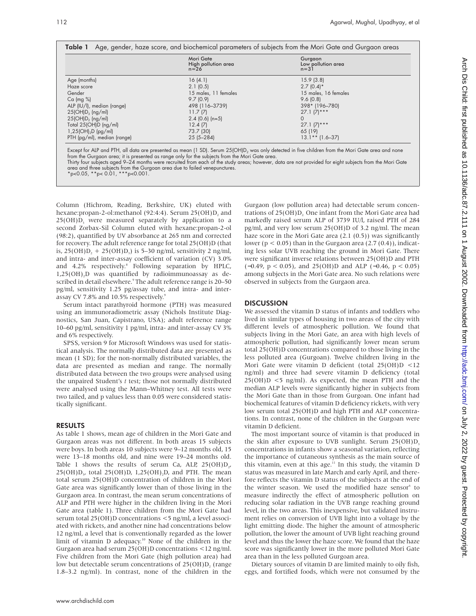|  |  |  |  | Table 1 Age, gender, haze score, and biochemical parameters of subjects from the Mori Gate and Gurgaon areas |
|--|--|--|--|--------------------------------------------------------------------------------------------------------------|
|--|--|--|--|--------------------------------------------------------------------------------------------------------------|

|                             | Mori Gate<br>High pollution area<br>$n=26$ | Gurgaon<br>Low pollution area<br>$n=31$ |
|-----------------------------|--------------------------------------------|-----------------------------------------|
| Age (months)                | 16(4.1)                                    | 15.9(3.8)                               |
| Haze score                  | 2.1(0.5)                                   | $2.7(0.4)$ *                            |
| Gender                      | 15 males, 11 females                       | 15 males, 16 females                    |
| $Ca$ (mg %)                 | 9.7(0.9)                                   | 9.6(0.8)                                |
| ALP (IU/I), median (range)  | 498 (116-3739)                             | 398* (196-780)                          |
| $25(OH)D_3$ (ng/ml)         | 11.7(7)                                    | $27.1 (7)***$                           |
| $25(OH)D2$ (ng/ml)          | $2.4$ (0.6) (n=5)                          | $\Omega$                                |
| Total $25(OH)D$ (ng/ml)     | 12.4(7)                                    | $27.1 (7)***$                           |
| $1,25(OH)2D$ (pg/ml)        | 73.7 (30)                                  | 65 (19)                                 |
| PTH (pg/ml), median (range) | $25(5 - 284)$                              | $13.1**$ (1.6-37)                       |

Except for ALP and PTH, all data are presented as mean (1 SD). Serum 25(OH)D<sub>2</sub> was only detected in five children from the Mori Gate area and none from the Gurgaon area; it is presented as range only for the subjects from the Mori Gate area.

Thirty four subjects aged 9–24 months were recruited from each of the study areas; however, data are not provided for eight subjects from the Mori Gate area and three subjects from the Gurgoan area due to failed venepunctures.

Column (Hichrom, Reading, Berkshire, UK) eluted with hexane:propan-2-ol:methanol (92:4:4). Serum 25(OH)D, and  $25(OH)D<sub>3</sub>$  were measured separately by application to a second Zorbax-Sil Column eluted with hexane:propan-2-ol (98:2), quantified by UV absorbance at 265 nm and corrected for recovery. The adult reference range for total 25(OH)D (that is,  $25(OH)D_2 + 25(OH)D_3$ ) is 5–30 ng/ml, sensitivity 2 ng/ml, and intra- and inter-assay coefficient of variation (CV) 3.0% and 4.2% respectively.<sup>8</sup> Following separation by HPLC, 1,25(OH)<sub>2</sub>D was quantified by radioimmunoassay as described in detail elsewhere.<sup>9</sup> The adult reference range is 20-50 pg/ml, sensitivity 1.25 pg/assay tube, and intra- and interassay CV 7.8% and 10.5% respectively.<sup>9</sup>

Serum intact parathyroid hormone (PTH) was measured using an immunoradiometric assay (Nichols Institute Diagnostics, San Juan, Capistrano, USA); adult reference range 10–60 pg/ml, sensitivity 1 pg/ml, intra- and inter-assay CV 3% and 6% respectively.

SPSS, version 9 for Microsoft Windows was used for statistical analysis. The normally distributed data are presented as mean (1 SD); for the non-normally distributed variables, the data are presented as median and range. The normally distributed data between the two groups were analysed using the unpaired Student's *t* test; those not normally distributed were analysed using the Mann–Whitney test. All tests were two tailed, and p values less than 0.05 were considered statistically significant.

## RESULTS

As table 1 shows, mean age of children in the Mori Gate and Gurgaon areas was not different. In both areas 15 subjects were boys. In both areas 10 subjects were 9–12 months old, 15 were 13–18 months old, and nine were 19–24 months old. Table 1 shows the results of serum Ca, ALP,  $25(OH)D_{2}$ ,  $25(OH)D<sub>2</sub>$ , total  $25(OH)D<sub>2</sub>$ , 1,25(OH)<sub>2</sub>D, and PTH. The mean total serum 25(OH)D concentration of children in the Mori Gate area was significantly lower than of those living in the Gurgaon area. In contrast, the mean serum concentrations of ALP and PTH were higher in the children living in the Mori Gate area (table 1). Three children from the Mori Gate had serum total 25(OH)D concentrations <5 ng/ml, a level associated with rickets, and another nine had concentrations below 12 ng/ml, a level that is conventionally regarded as the lower limit of vitamin D adequacy.<sup>10</sup> None of the children in the Gurgaon area had serum 25(OH)D concentrations <12 ng/ml. Five children from the Mori Gate (high pollution area) had low but detectable serum concentrations of  $25(OH)D$ , (range 1.8–3.2 ng/ml). In contrast, none of the children in the

Gurgaon (low pollution area) had detectable serum concentrations of 25(OH)D, One infant from the Mori Gate area had markedly raised serum ALP of 3739 IU/l, raised PTH of 284 pg/ml, and very low serum 25(OH)D of 3.2 ng/ml. The mean haze score in the Mori Gate area (2.1 (0.5)) was significantly lower ( $p < 0.05$ ) than in the Gurgaon area (2.7 (0.4)), indicating less solar UVB reaching the ground in Mori Gate. There were significant inverse relations between 25(OH)D and PTH ( $-0.49$ ,  $p < 0.05$ ), and 25(OH)D and ALP ( $-0.46$ ,  $p < 0.05$ ) among subjects in the Mori Gate area. No such relations were observed in subjects from the Gurgaon area.

## **DISCUSSION**

We assessed the vitamin D status of infants and toddlers who lived in similar types of housing in two areas of the city with different levels of atmospheric pollution. We found that subjects living in the Mori Gate, an area with high levels of atmospheric pollution, had significantly lower mean serum total 25(OH)D concentrations compared to those living in the less polluted area (Gurgoan). Twelve children living in the Mori Gate were vitamin D deficient (total 25(OH)D <12 ng/ml) and three had severe vitamin D deficiency (total  $25(OH)D < 5$  ng/ml). As expected, the mean PTH and the median ALP levels were significantly higher in subjects from the Mori Gate than in those from Gurgoan. One infant had biochemical features of vitamin D deficiency rickets, with very low serum total 25(OH)D and high PTH and ALP concentrations. In contrast, none of the children in the Gurgoan were vitamin D deficient.

The most important source of vitamin is that produced in the skin after exposure to UVB sunlight. Serum  $25(OH)D<sub>3</sub>$ concentrations in infants show a seasonal variation, reflecting the importance of cutaneous synthesis as the main source of this vitamin, even at this age.<sup>11</sup> In this study, the vitamin D status was measured in late March and early April, and therefore reflects the vitamin D status of the subjects at the end of the winter season. We used the modified haze sensor<sup>6</sup> to measure indirectly the effect of atmospheric pollution on reducing solar radiation in the UVB range reaching ground level, in the two areas. This inexpensive, but validated instrument relies on conversion of UVB light into a voltage by the light emitting diode. The higher the amount of atmospheric pollution, the lower the amount of UVB light reaching ground level and thus the lower the haze score. We found that the haze score was significantly lower in the more polluted Mori Gate area than in the less polluted Gurgoan area.

Dietary sources of vitamin D are limited mainly to oily fish, eggs, and fortified foods, which were not consumed by the

<sup>\*</sup>p<0.05, \*\*p< 0.01, \*\*\*p<0.001.